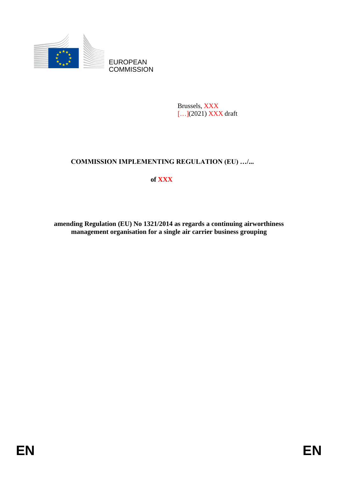

EUROPEAN **COMMISSION** 

> Brussels, XXX [...](2021) **XXX** draft

## **COMMISSION IMPLEMENTING REGULATION (EU) …/...**

# **of XXX**

**amending Regulation (EU) No 1321/2014 as regards a continuing airworthiness management organisation for a single air carrier business grouping**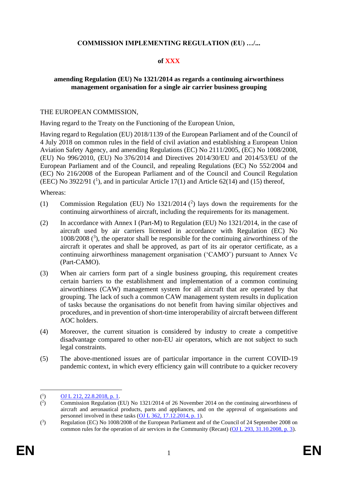### **COMMISSION IMPLEMENTING REGULATION (EU) …/...**

## **of XXX**

#### **amending Regulation (EU) No 1321/2014 as regards a continuing airworthiness management organisation for a single air carrier business grouping**

#### THE EUROPEAN COMMISSION,

Having regard to the Treaty on the Functioning of the European Union,

Having regard to Regulation (EU) 2018/1139 of the European Parliament and of the Council of 4 July 2018 on common rules in the field of civil aviation and establishing a European Union Aviation Safety Agency, and amending Regulations (EC) No 2111/2005, (EC) No 1008/2008, (EU) No 996/2010, (EU) No 376/2014 and Directives 2014/30/EU and 2014/53/EU of the European Parliament and of the Council, and repealing Regulations (EC) No 552/2004 and (EC) No 216/2008 of the European Parliament and of the Council and Council Regulation (EEC) No 3922/91  $(1)$ , and in particular Article 17(1) and Article 62(14) and (15) thereof,

Whereas:

- (1) Commission Regulation (EU) No  $1321/2014$  (<sup>2</sup>) lays down the requirements for the continuing airworthiness of aircraft, including the requirements for its management.
- (2) In accordance with Annex I (Part-M) to Regulation (EU) No 1321/2014, in the case of aircraft used by air carriers licensed in accordance with Regulation (EC) No 1008/2008 ( 3 ), the operator shall be responsible for the continuing airworthiness of the aircraft it operates and shall be approved, as part of its air operator certificate, as a continuing airworthiness management organisation ('CAMO') pursuant to Annex Vc (Part-CAMO).
- (3) When air carriers form part of a single business grouping, this requirement creates certain barriers to the establishment and implementation of a common continuing airworthiness (CAW) management system for all aircraft that are operated by that grouping. The lack of such a common CAW management system results in duplication of tasks because the organisations do not benefit from having similar objectives and procedures, and in prevention of short-time interoperability of aircraft between different AOC holders.
- (4) Moreover, the current situation is considered by industry to create a competitive disadvantage compared to other non-EU air operators, which are not subject to such legal constraints.
- (5) The above-mentioned issues are of particular importance in the current COVID-19 pandemic context, in which every efficiency gain will contribute to a quicker recovery

 $($ <sup>1</sup> ) [OJ L 212, 22.8.2018, p. 1.](https://eur-lex.europa.eu/legal-content/EN/AUTO/?uri=OJ:L:2018:212:TOC)

 $($ <sup>2</sup> ) Commission Regulation (EU) No 1321/2014 of 26 November 2014 on the continuing airworthiness of aircraft and aeronautical products, parts and appliances, and on the approval of organisations and personnel involved in these tasks [\(OJ L 362, 17.12.2014, p. 1\)](https://eur-lex.europa.eu/legal-content/EN/AUTO/?uri=OJ:L:2014:362:TOC).

 $\binom{3}{ }$ ) Regulation (EC) No 1008/2008 of the European Parliament and of the Council of 24 September 2008 on common rules for the operation of air services in the Community (Recast) [\(OJ L 293, 31.10.2008, p. 3\)](https://eur-lex.europa.eu/legal-content/EN/AUTO/?uri=OJ:L:2008:293:TOC).